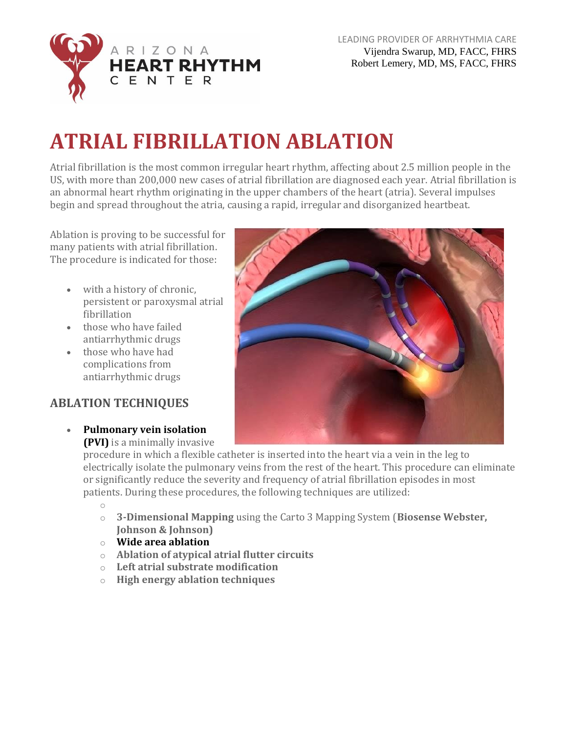

# **ATRIAL FIBRILLATION ABLATION**

Atrial fibrillation is the most common irregular heart rhythm, affecting about 2.5 million people in the US, with more than 200,000 new cases of atrial fibrillation are diagnosed each year. Atrial fibrillation is an abnormal heart rhythm originating in the upper chambers of the heart (atria). Several impulses begin and spread throughout the atria, causing a rapid, irregular and disorganized heartbeat.

Ablation is proving to be successful for many patients with atrial fibrillation. The procedure is indicated for those:

- with a history of chronic, persistent or paroxysmal atrial fibrillation
- those who have failed antiarrhythmic drugs
- those who have had complications from antiarrhythmic drugs

#### **ABLATION TECHNIQUES**

• **Pulmonary vein isolation (PVI)** is a minimally invasive

procedure in which a flexible catheter is inserted into the heart via a vein in the leg to electrically isolate the pulmonary veins from the rest of the heart. This procedure can eliminate or significantly reduce the severity and frequency of atrial fibrillation episodes in most patients. During these procedures, the following techniques are utilized:

o

- o **3-Dimensional Mapping** using the Carto 3 Mapping System (**Biosense Webster, Johnson & Johnson)**
- o **Wide area ablation**
- o **Ablation of atypical atrial flutter circuits**
- o **Left atrial substrate modification**
- o **High energy ablation techniques**

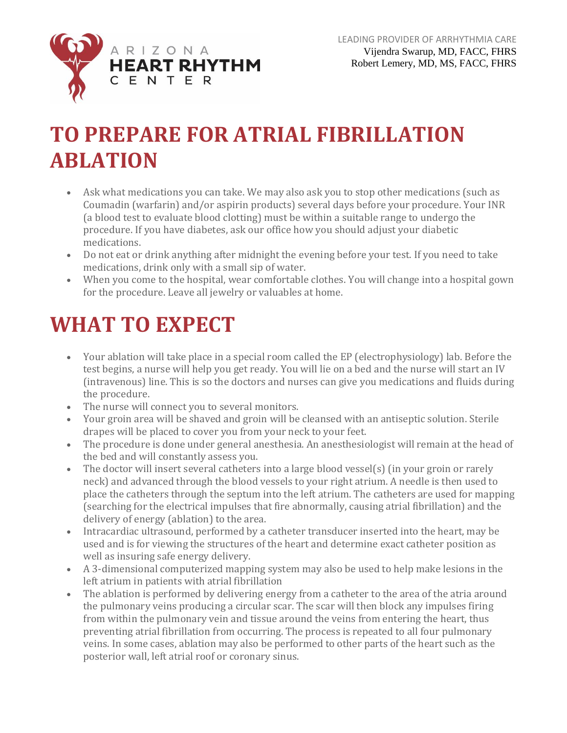

## **TO PREPARE FOR ATRIAL FIBRILLATION ABLATION**

- Ask what medications you can take. We may also ask you to stop other medications (such as Coumadin (warfarin) and/or aspirin products) several days before your procedure. Your INR (a blood test to evaluate blood clotting) must be within a suitable range to undergo the procedure. If you have diabetes, ask our office how you should adjust your diabetic medications.
- Do not eat or drink anything after midnight the evening before your test. If you need to take medications, drink only with a small sip of water.
- When you come to the hospital, wear comfortable clothes. You will change into a hospital gown for the procedure. Leave all jewelry or valuables at home.

### **WHAT TO EXPECT**

- Your ablation will take place in a special room called the EP (electrophysiology) lab. Before the test begins, a nurse will help you get ready. You will lie on a bed and the nurse will start an IV (intravenous) line. This is so the doctors and nurses can give you medications and fluids during the procedure.
- The nurse will connect you to several monitors.
- Your groin area will be shaved and groin will be cleansed with an antiseptic solution. Sterile drapes will be placed to cover you from your neck to your feet.
- The procedure is done under general anesthesia. An anesthesiologist will remain at the head of the bed and will constantly assess you.
- The doctor will insert several catheters into a large blood vessel(s) (in your groin or rarely neck) and advanced through the blood vessels to your right atrium. A needle is then used to place the catheters through the septum into the left atrium. The catheters are used for mapping (searching for the electrical impulses that fire abnormally, causing atrial fibrillation) and the delivery of energy (ablation) to the area.
- Intracardiac ultrasound, performed by a catheter transducer inserted into the heart, may be used and is for viewing the structures of the heart and determine exact catheter position as well as insuring safe energy delivery.
- A 3-dimensional computerized mapping system may also be used to help make lesions in the left atrium in patients with atrial fibrillation
- The ablation is performed by delivering energy from a catheter to the area of the atria around the pulmonary veins producing a circular scar. The scar will then block any impulses firing from within the pulmonary vein and tissue around the veins from entering the heart, thus preventing atrial fibrillation from occurring. The process is repeated to all four pulmonary veins. In some cases, ablation may also be performed to other parts of the heart such as the posterior wall, left atrial roof or coronary sinus.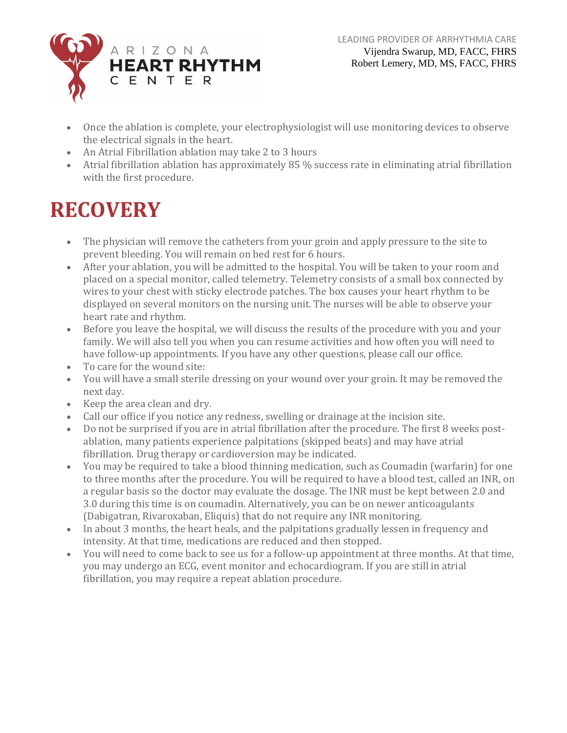

- Once the ablation is complete, your electrophysiologist will use monitoring devices to observe the electrical signals in the heart.
- An Atrial Fibrillation ablation may take 2 to 3 hours
- Atrial fibrillation ablation has approximately 85 % success rate in eliminating atrial fibrillation with the first procedure.

# **RECOVERY**

- The physician will remove the catheters from your groin and apply pressure to the site to prevent bleeding. You will remain on bed rest for 6 hours.
- After your ablation, you will be admitted to the hospital. You will be taken to your room and placed on a special monitor, called telemetry. Telemetry consists of a small box connected by wires to your chest with sticky electrode patches. The box causes your heart rhythm to be displayed on several monitors on the nursing unit. The nurses will be able to observe your heart rate and rhythm.
- Before you leave the hospital, we will discuss the results of the procedure with you and your family. We will also tell you when you can resume activities and how often you will need to have follow-up appointments. If you have any other questions, please call our office.
- To care for the wound site:
- You will have a small sterile dressing on your wound over your groin. It may be removed the next day.
- Keep the area clean and dry.
- Call our office if you notice any redness, swelling or drainage at the incision site.
- Do not be surprised if you are in atrial fibrillation after the procedure. The first 8 weeks postablation, many patients experience palpitations (skipped beats) and may have atrial fibrillation. Drug therapy or cardioversion may be indicated.
- You may be required to take a blood thinning medication, such as Coumadin (warfarin) for one to three months after the procedure. You will be required to have a blood test, called an INR, on a regular basis so the doctor may evaluate the dosage. The INR must be kept between 2.0 and 3.0 during this time is on coumadin. Alternatively, you can be on newer anticoagulants (Dabigatran, Rivaroxaban, Eliquis) that do not require any INR monitoring.
- In about 3 months, the heart heals, and the palpitations gradually lessen in frequency and intensity. At that time, medications are reduced and then stopped.
- You will need to come back to see us for a follow-up appointment at three months. At that time, you may undergo an ECG, event monitor and echocardiogram. If you are still in atrial fibrillation, you may require a repeat ablation procedure.